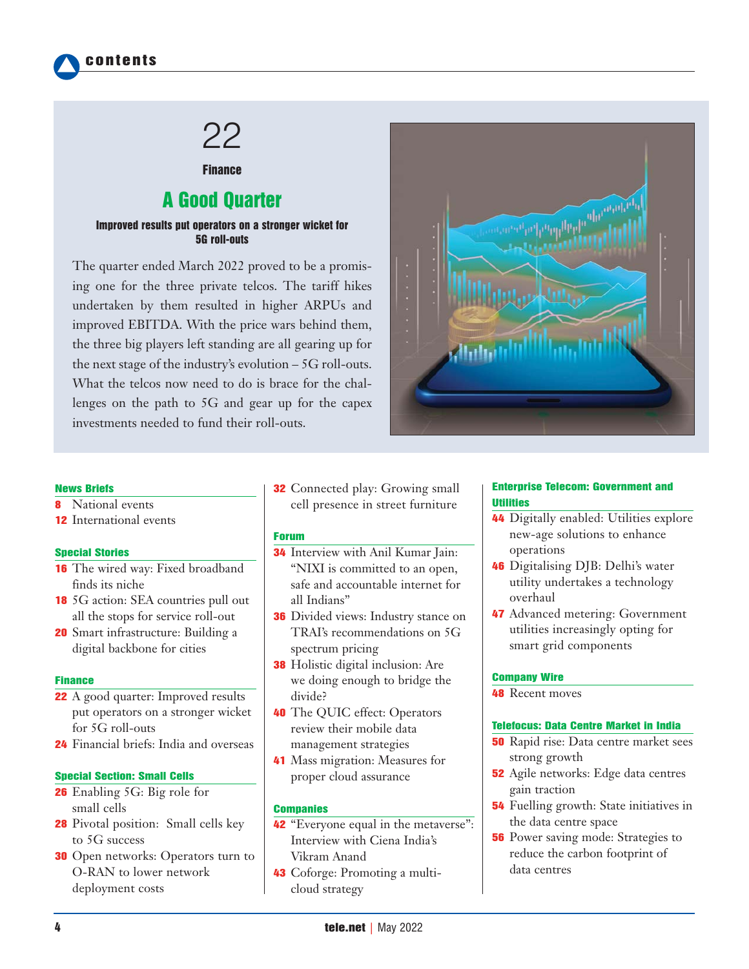

# 22

# **Finance**

# A Good Quarter

#### Improved results put operators on a stronger wicket for 5G roll-outs

The quarter ended March 2022 proved to be a promising one for the three private telcos. The tariff hikes undertaken by them resulted in higher ARPUs and improved EBITDA. With the price wars behind them, the three big players left standing are all gearing up for the next stage of the industry's evolution – 5G roll-outs. What the telcos now need to do is brace for the challenges on the path to 5G and gear up for the capex investments needed to fund their roll-outs.



#### News Briefs

- **8** National events
- 12 International events

#### Special Stories

- 16 The wired way: Fixed broadband finds its niche
- 18 5G action: SEA countries pull out all the stops for service roll-out
- **20** Smart infrastructure: Building a digital backbone for cities

#### **Finance**

- 22 A good quarter: Improved results put operators on a stronger wicket for 5G roll-outs
- 24 Financial briefs: India and overseas

#### Special Section: Small Cells

- 26 Enabling 5G: Big role for small cells
- 28 Pivotal position: Small cells key to 5G success
- **30** Open networks: Operators turn to O-RAN to lower network deployment costs

32 Connected play: Growing small cell presence in street furniture

#### Forum

- 34 Interview with Anil Kumar Jain: "NIXI is committed to an open, safe and accountable internet for all Indians"
- **36** Divided views: Industry stance on TRAI's recommendations on 5G spectrum pricing
- **38** Holistic digital inclusion: Are we doing enough to bridge the divide?
- 40 The QUIC effect: Operators review their mobile data management strategies
- 41 Mass migration: Measures for proper cloud assurance

#### **Companies**

- 42 "Everyone equal in the metaverse": Interview with Ciena India's Vikram Anand
- 43 Coforge: Promoting a multicloud strategy

#### Enterprise Telecom: Government and Utilities

- 44 Digitally enabled: Utilities explore new-age solutions to enhance operations
- 46 Digitalising DJB: Delhi's water utility undertakes a technology overhaul
- 47 Advanced metering: Government utilities increasingly opting for smart grid components

#### Company Wire

48 Recent moves

#### Telefocus: Data Centre Market in India

- 50 Rapid rise: Data centre market sees strong growth
- 52 Agile networks: Edge data centres gain traction
- 54 Fuelling growth: State initiatives in the data centre space
- **56** Power saving mode: Strategies to reduce the carbon footprint of data centres